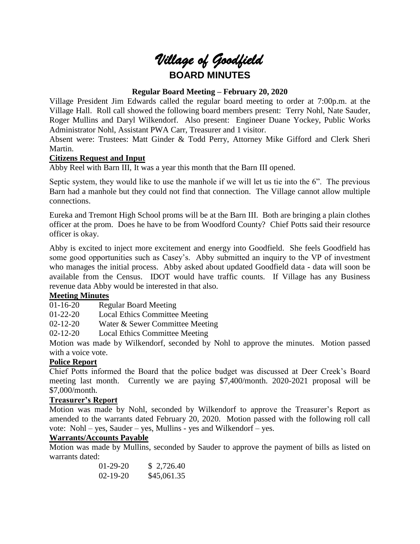# *Village of Goodfield* **BOARD MINUTES**

# **Regular Board Meeting – February 20, 2020**

Village President Jim Edwards called the regular board meeting to order at 7:00p.m. at the Village Hall. Roll call showed the following board members present: Terry Nohl, Nate Sauder, Roger Mullins and Daryl Wilkendorf. Also present: Engineer Duane Yockey, Public Works Administrator Nohl, Assistant PWA Carr, Treasurer and 1 visitor.

Absent were: Trustees: Matt Ginder & Todd Perry, Attorney Mike Gifford and Clerk Sheri Martin.

#### **Citizens Request and Input**

Abby Reel with Barn III, It was a year this month that the Barn III opened.

Septic system, they would like to use the manhole if we will let us tie into the 6". The previous Barn had a manhole but they could not find that connection. The Village cannot allow multiple connections.

Eureka and Tremont High School proms will be at the Barn III. Both are bringing a plain clothes officer at the prom. Does he have to be from Woodford County? Chief Potts said their resource officer is okay.

Abby is excited to inject more excitement and energy into Goodfield. She feels Goodfield has some good opportunities such as Casey's. Abby submitted an inquiry to the VP of investment who manages the initial process. Abby asked about updated Goodfield data - data will soon be available from the Census. IDOT would have traffic counts. If Village has any Business revenue data Abby would be interested in that also.

#### **Meeting Minutes**

01-16-20 Regular Board Meeting

01-22-20 Local Ethics Committee Meeting

02-12-20 Water & Sewer Committee Meeting

02-12-20 Local Ethics Committee Meeting

Motion was made by Wilkendorf, seconded by Nohl to approve the minutes. Motion passed with a voice vote.

#### **Police Report**

Chief Potts informed the Board that the police budget was discussed at Deer Creek's Board meeting last month. Currently we are paying \$7,400/month. 2020-2021 proposal will be \$7,000/month.

#### **Treasurer's Report**

Motion was made by Nohl, seconded by Wilkendorf to approve the Treasurer's Report as amended to the warrants dated February 20, 2020. Motion passed with the following roll call vote: Nohl – yes, Sauder – yes, Mullins - yes and Wilkendorf – yes.

#### **Warrants/Accounts Payable**

Motion was made by Mullins, seconded by Sauder to approve the payment of bills as listed on warrants dated:

| $01-29-20$     | \$2,726.40  |
|----------------|-------------|
| $02 - 19 - 20$ | \$45,061.35 |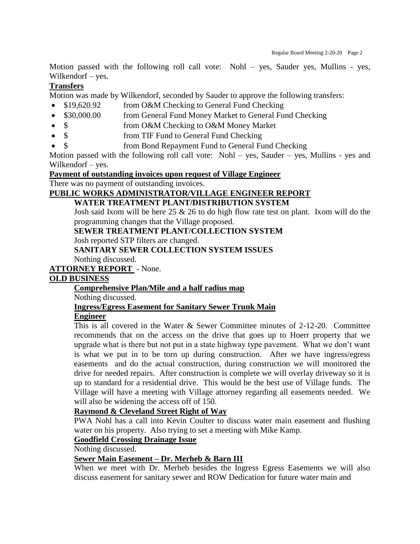Motion passed with the following roll call vote: Nohl – yes, Sauder yes, Mullins - yes, Wilkendorf – yes.

# **Transfers**

Motion was made by Wilkendorf, seconded by Sauder to approve the following transfers:

- \$19,620.92 from O&M Checking to General Fund Checking
- \$30,000.00 from General Fund Money Market to General Fund Checking
- \$ from O&M Checking to O&M Money Market
- \$ from TIF Fund to General Fund Checking
- from Bond Repayment Fund to General Fund Checking

Motion passed with the following roll call vote: Nohl – yes, Sauder – yes, Mullins - yes and Wilkendorf – yes.

**Payment of outstanding invoices upon request of Village Engineer**

There was no payment of outstanding invoices.

# **PUBLIC WORKS ADMINISTRATOR/VILLAGE ENGINEER REPORT**

# **WATER TREATMENT PLANT/DISTRIBUTION SYSTEM**

Josh said Ixom will be here  $25 \& 26$  to do high flow rate test on plant. Ixom will do the programming changes that the Village proposed.

**SEWER TREATMENT PLANT/COLLECTION SYSTEM**

Josh reported STP filters are changed.

# **SANITARY SEWER COLLECTION SYSTEM ISSUES**

Nothing discussed.

# **ATTORNEY REPORT** - None.

#### **OLD BUSINESS**

# **Comprehensive Plan/Mile and a half radius map**

Nothing discussed.

# **Ingress/Egress Easement for Sanitary Sewer Trunk Main**

# **Engineer**

This is all covered in the Water & Sewer Committee minutes of 2-12-20. Committee recommends that on the access on the drive that goes up to Hoerr property that we upgrade what is there but not put in a state highway type pavement. What we don't want is what we put in to be torn up during construction. After we have ingress/egress easements and do the actual construction, during construction we will monitored the drive for needed repairs. After construction is complete we will overlay driveway so it is up to standard for a residential drive. This would be the best use of Village funds. The Village will have a meeting with Village attorney regarding all easements needed. We will also be widening the access off of 150.

# **Raymond & Cleveland Street Right of Way**

PWA Nohl has a call into Kevin Coulter to discuss water main easement and flushing water on his property. Also trying to set a meeting with Mike Kamp.

# **Goodfield Crossing Drainage Issue**

Nothing discussed.

#### **Sewer Main Easement – Dr. Merheb & Barn III**

When we meet with Dr. Merheb besides the Ingress Egress Easements we will also discuss easement for sanitary sewer and ROW Dedication for future water main and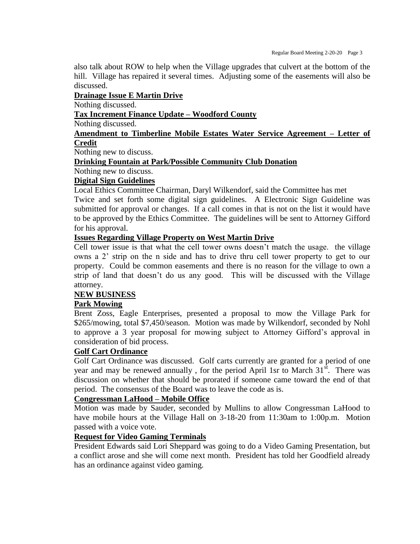also talk about ROW to help when the Village upgrades that culvert at the bottom of the hill. Village has repaired it several times. Adjusting some of the easements will also be discussed.

#### **Drainage Issue E Martin Drive**

Nothing discussed.

**Tax Increment Finance Update – Woodford County**

#### Nothing discussed.

# **Amendment to Timberline Mobile Estates Water Service Agreement – Letter of Credit**

Nothing new to discuss.

#### **Drinking Fountain at Park/Possible Community Club Donation**

Nothing new to discuss.

#### **Digital Sign Guidelines**

Local Ethics Committee Chairman, Daryl Wilkendorf, said the Committee has met

Twice and set forth some digital sign guidelines. A Electronic Sign Guideline was submitted for approval or changes. If a call comes in that is not on the list it would have to be approved by the Ethics Committee. The guidelines will be sent to Attorney Gifford for his approval.

#### **Issues Regarding Village Property on West Martin Drive**

Cell tower issue is that what the cell tower owns doesn't match the usage. the village owns a 2' strip on the n side and has to drive thru cell tower property to get to our property. Could be common easements and there is no reason for the village to own a strip of land that doesn't do us any good. This will be discussed with the Village attorney.

#### **NEW BUSINESS**

#### **Park Mowing**

Brent Zoss, Eagle Enterprises, presented a proposal to mow the Village Park for \$265/mowing, total \$7,450/season. Motion was made by Wilkendorf, seconded by Nohl to approve a 3 year proposal for mowing subject to Attorney Gifford's approval in consideration of bid process.

# **Golf Cart Ordinance**

Golf Cart Ordinance was discussed. Golf carts currently are granted for a period of one year and may be renewed annually, for the period April 1sr to March  $31<sup>st</sup>$ . There was discussion on whether that should be prorated if someone came toward the end of that period. The consensus of the Board was to leave the code as is.

#### **Congressman LaHood – Mobile Office**

Motion was made by Sauder, seconded by Mullins to allow Congressman LaHood to have mobile hours at the Village Hall on 3-18-20 from 11:30am to 1:00p.m. Motion passed with a voice vote.

#### **Request for Video Gaming Terminals**

President Edwards said Lori Sheppard was going to do a Video Gaming Presentation, but a conflict arose and she will come next month. President has told her Goodfield already has an ordinance against video gaming.